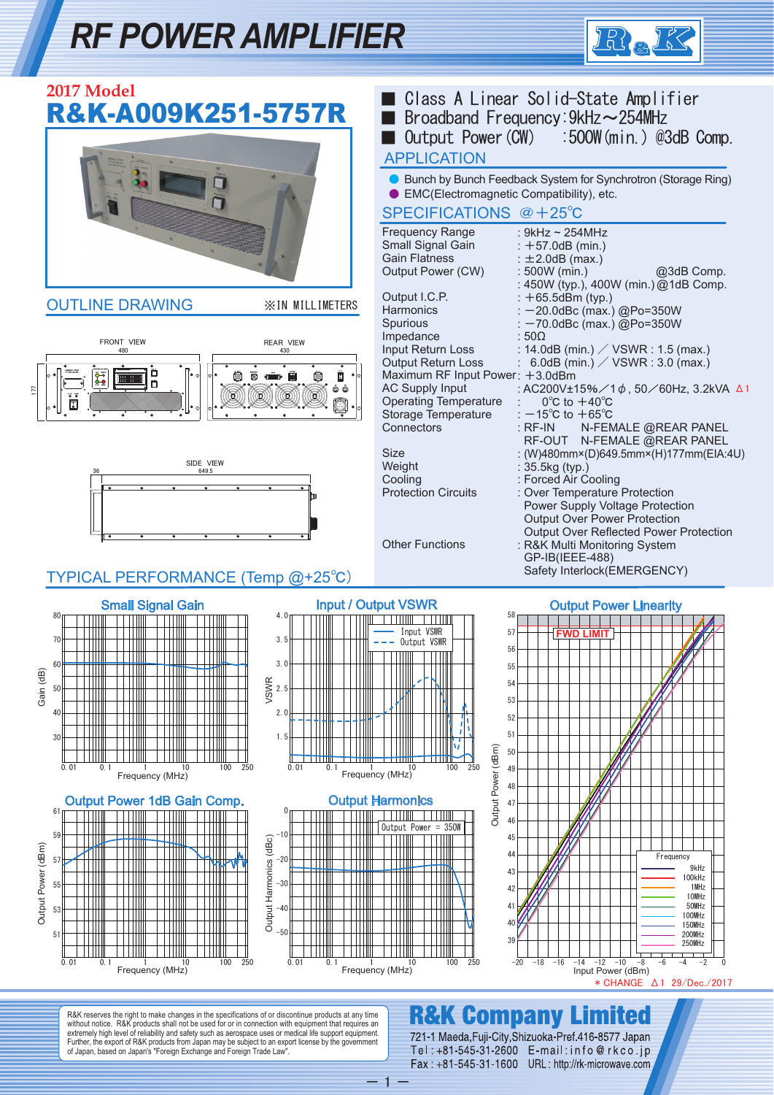## *RF POWER AMPLIFIER*



| 2017 Model<br>R&K-A009K251-5757R                                                                                                                                                                                                                 | ■ Class A Linear Solid-State Amplifier<br>Broadband Frequency: 9kHz ~ 254MHz<br>Output Power (CW) :500W (min.) @3dB Comp.<br><b>APPLICATION</b>                                                                                                                                                                                                                                                                                            |
|--------------------------------------------------------------------------------------------------------------------------------------------------------------------------------------------------------------------------------------------------|--------------------------------------------------------------------------------------------------------------------------------------------------------------------------------------------------------------------------------------------------------------------------------------------------------------------------------------------------------------------------------------------------------------------------------------------|
|                                                                                                                                                                                                                                                  | ● Bunch by Bunch Feedback System for Synchrotron (Storage Ring)<br>• EMC(Electromagnetic Compatibility), etc.<br>SPECIFICATIONS @ +25°C                                                                                                                                                                                                                                                                                                    |
|                                                                                                                                                                                                                                                  | <b>Frequency Range</b><br>: 9kHz $\sim$ 254MHz<br>Small Signal Gain<br>$: +57.0dB$ (min.)<br><b>Gain Flatness</b><br>$\pm 2.0$ dB (max.)<br>Output Power (CW)<br>$: 500W$ (min.)<br>@3dB Comp.<br>: 450W (typ.), 400W (min.) @1dB Comp.                                                                                                                                                                                                    |
| <b>OUTLINE DRAWING</b><br><b>XIN MILLIMETERS</b>                                                                                                                                                                                                 | Output I.C.P.<br>$: +65.5$ dBm (typ.)<br>Harmonics<br>: -20.0dBc (max.) @Po=350W<br>Spurious<br>: -70.0dBc (max.) @Po=350W<br>Impedance<br>:500                                                                                                                                                                                                                                                                                            |
| <b>FRONT VIEW</b><br><b>REAR VIEW</b><br>480<br>430<br>$\frac{64}{66}$<br>ò<br>177<br>⊡                                                                                                                                                          | Input Return Loss<br>: 14.0dB (min.) / $VSWR$ : 1.5 (max.)<br><b>Output Return Loss</b><br>: 6.0dB (min.) / $VSWR$ : 3.0 (max.)<br>Maximum RF Input Power: +3.0dBm<br>圓<br><b>AC Supply Input</b><br>: AC200V±15%/1¢, 50/60Hz, 3.2kVA △1<br>Ő Ő<br><b>Operating Temperature</b><br>$0^{\circ}$ C to $+40^{\circ}$ C<br>ា<br>Storage Temperature<br>: $-15^{\circ}$ C to $+65^{\circ}$ C<br>Connectors<br>N-FEMALE @REAR PANEL<br>$:$ RF-IN |
| SIDE VIEW<br>649.5                                                                                                                                                                                                                               | RF-OUT N-FEMALE @REAR PANEL<br>: (W)480mm×(D)649.5mm×(H)177mm(EIA:4U)<br>Size<br>Weight<br>: 35.5kg (typ.)<br>: Forced Air Cooling<br>Cooling<br><b>Protection Circuits</b><br>: Over Temperature Protection<br>Power Supply Voltage Protection<br><b>Output Over Power Protection</b><br>Output Over Reflected Power Protection<br><b>Other Functions</b><br>: R&K Multi Monitoring System<br>GP-IB(IEEE-488)                             |
| TYPICAL PERFORMANCE (Temp @+25°C)                                                                                                                                                                                                                | Safety Interlock(EMERGENCY)                                                                                                                                                                                                                                                                                                                                                                                                                |
| <b>Small Signal Gain</b><br>80<br>4. Or<br>3.5<br>70<br>Ш<br>Ш<br>$\pm 1111$<br>-11111<br>Ш<br>60<br>3.0<br>Gain (dB)<br><b>VSWR</b><br>2.5<br>50<br>2.0<br>40<br>30<br>1.5<br>250<br>0.01<br>0.01<br>0.1<br>100<br>0.1<br>10<br>Frequency (MHz) | <b>Input / Output VSWR</b><br><b>Output Power Linearity</b><br>58<br>Input VSWR<br>57<br><b>FWD LIMIT</b><br>- Output VSWR<br>56<br>Ш<br>55<br>54<br>53<br>52<br>51<br>Output Power (dBm)<br>50<br>100<br>250<br>10<br>49<br>Frequency (MHz)<br>48                                                                                                                                                                                         |
| <b>Output Power 1dB Gain Comp.</b><br>61<br>59<br>Output Harmonics (dBc)<br>Щm<br>Output Power (dBm)<br>$-20$<br>57<br>Ш<br>$-30$<br>55<br>$-40$<br>53<br>$-50$<br>51<br>250<br>0.01<br>0.01<br>0.1<br>100<br>10<br>0.1<br>Frequency (MHz)       | <b>Output Harmonics</b><br>Output Power = $350W$<br>45<br>Frequency<br>ш<br>9kHz<br>43<br>100kHz<br>1 MHz<br>42<br>10MHz<br>50MHz<br>41<br>100MHz<br>40<br>150MHz<br>200MHz<br>39<br>250MHz<br>$-20$<br>$-18 - 16$<br>$-14 -12 -10 -8$<br>Input Power (dBm)<br>100<br>250<br>-6<br>$-4$<br>$-2$<br>10<br>Frequency (MHz)<br>* CHANGE $\Delta$ 1 29/Dec./2017                                                                               |

R&K reserves the right to make changes in the specifications of or discontinue products at any time<br>without notice. R&K products shall not be used for or in connection with equipment that requires an<br>extremely high level o

**R&K Company Limited** 721-1 Maeda, Fuji-City, Shizuoka-Pref. 416-8577 Japan<br>Tel: +81-545-31-2600 E-mail: info@rkco.jp<br>Fax: +81-545-31-1600 URL: http://rk-microwave.com

 $- 1 -$